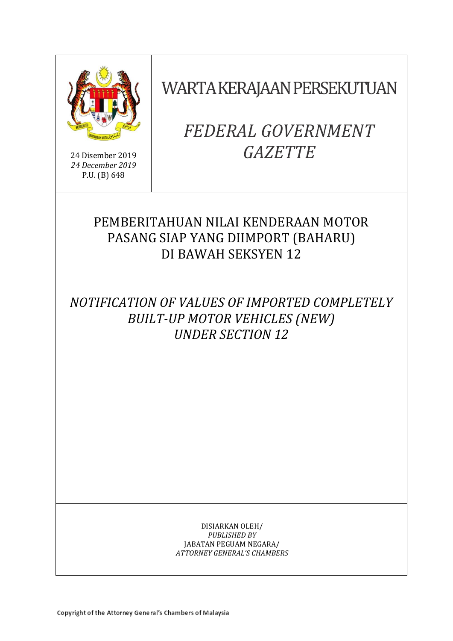

24 Disember 2019 *24 December 2019* P.U. (B) 648

# WARTA KERAJAAN PERSEKUTUAN

# *FEDERAL GOVERNMENT GAZETTE*

# PEMBERITAHUAN NILAI KENDERAAN MOTOR PASANG SIAP YANG DIIMPORT (BAHARU) DI BAWAH SEKSYEN 12

*NOTIFICATION OF VALUES OF IMPORTED COMPLETELY BUILT-UP MOTOR VEHICLES (NEW) UNDER SECTION 12* 

> DISIARKAN OLEH/ *PUBLISHED BY* JABATAN PEGUAM NEGARA/ *ATTORNEY GENERAL'S CHAMBERS*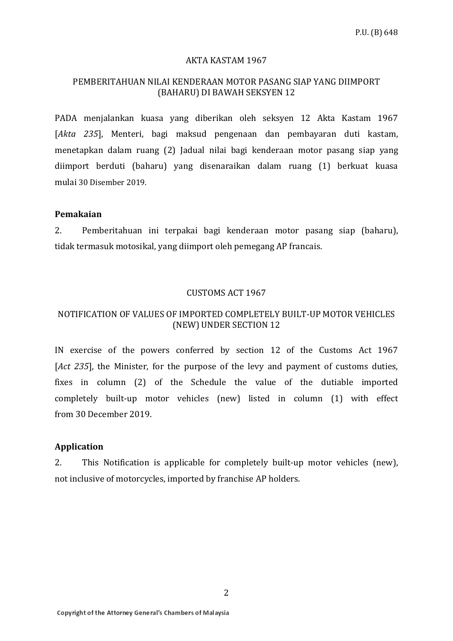#### AKTA KASTAM 1967

## PEMBERITAHUAN NILAI KENDERAAN MOTOR PASANG SIAP YANG DIIMPORT (BAHARU) DI BAWAH SEKSYEN 12

PADA menjalankan kuasa yang diberikan oleh seksyen 12 Akta Kastam 1967 [*Akta 235*], Menteri, bagi maksud pengenaan dan pembayaran duti kastam, menetapkan dalam ruang (2) Jadual nilai bagi kenderaan motor pasang siap yang diimport berduti (baharu) yang disenaraikan dalam ruang (1) berkuat kuasa mulai 30 Disember 2019.

#### **Pemakaian**

2. Pemberitahuan ini terpakai bagi kenderaan motor pasang siap (baharu), tidak termasuk motosikal, yang diimport oleh pemegang AP francais.

#### CUSTOMS ACT 1967

### NOTIFICATION OF VALUES OF IMPORTED COMPLETELY BUILT-UP MOTOR VEHICLES (NEW) UNDER SECTION 12

IN exercise of the powers conferred by section 12 of the Customs Act 1967 [*Act 235*], the Minister, for the purpose of the levy and payment of customs duties, fixes in column (2) of the Schedule the value of the dutiable imported completely built-up motor vehicles (new) listed in column (1) with effect from 30 December 2019.

## **Application**

2. This Notification is applicable for completely built-up motor vehicles (new), not inclusive of motorcycles, imported by franchise AP holders.